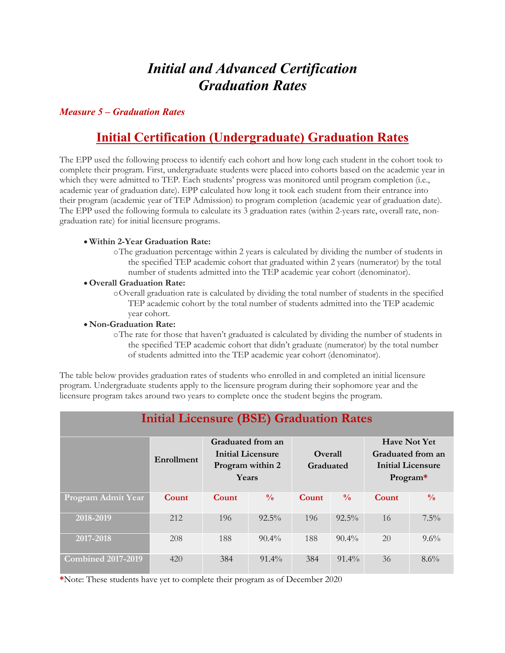# *Initial and Advanced Certification Graduation Rates*

## *Measure 5 – Graduation Rates*

## **Initial Certification (Undergraduate) Graduation Rates**

The EPP used the following process to identify each cohort and how long each student in the cohort took to complete their program. First, undergraduate students were placed into cohorts based on the academic year in which they were admitted to TEP. Each students' progress was monitored until program completion (i.e., academic year of graduation date). EPP calculated how long it took each student from their entrance into their program (academic year of TEP Admission) to program completion (academic year of graduation date). The EPP used the following formula to calculate its 3 graduation rates (within 2-years rate, overall rate, nongraduation rate) for initial licensure programs.

#### • **Within 2-Year Graduation Rate:**

oThe graduation percentage within 2 years is calculated by dividing the number of students in the specified TEP academic cohort that graduated within 2 years (numerator) by the total number of students admitted into the TEP academic year cohort (denominator).

#### • **Overall Graduation Rate:**

oOverall graduation rate is calculated by dividing the total number of students in the specified TEP academic cohort by the total number of students admitted into the TEP academic year cohort.

#### • **Non-Graduation Rate:**

oThe rate for those that haven't graduated is calculated by dividing the number of students in the specified TEP academic cohort that didn't graduate (numerator) by the total number of students admitted into the TEP academic year cohort (denominator).

The table below provides graduation rates of students who enrolled in and completed an initial licensure program. Undergraduate students apply to the licensure program during their sophomore year and the licensure program takes around two years to complete once the student begins the program.

| <b>Initial Licensure (BSE) Graduation Rates</b> |            |                                                                            |               |                             |               |                                                                                    |               |  |  |
|-------------------------------------------------|------------|----------------------------------------------------------------------------|---------------|-----------------------------|---------------|------------------------------------------------------------------------------------|---------------|--|--|
|                                                 | Enrollment | Graduated from an<br><b>Initial Licensure</b><br>Program within 2<br>Years |               | <b>Overall</b><br>Graduated |               | <b>Have Not Yet</b><br>Graduated from an<br><b>Initial Licensure</b><br>$Program*$ |               |  |  |
| Program Admit Year                              | Count      | Count                                                                      | $\frac{0}{0}$ | Count                       | $\frac{0}{0}$ | Count                                                                              | $\frac{0}{0}$ |  |  |
| 2018-2019                                       | 212        | 196                                                                        | $92.5\%$      | 196                         | $92.5\%$      | 16                                                                                 | $7.5\%$       |  |  |
| 2017-2018                                       | 208        | 188                                                                        | $90.4\%$      | 188                         | $90.4\%$      | 20                                                                                 | $9.6\%$       |  |  |
| <b>Combined 2017-2019</b>                       | 420        | 384                                                                        | $91.4\%$      | 384                         | $91.4\%$      | 36                                                                                 | $8.6\%$       |  |  |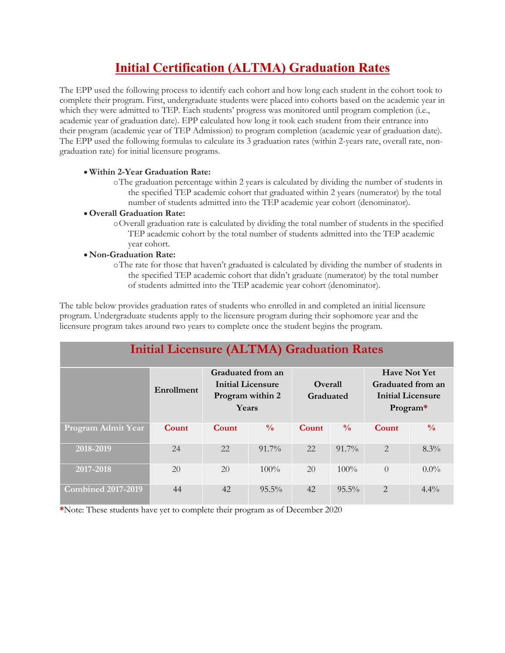## **Initial Certification (ALTMA) Graduation Rates**

The EPP used the following process to identify each cohort and how long each student in the cohort took to complete their program. First, undergraduate students were placed into cohorts based on the academic year in which they were admitted to TEP. Each students' progress was monitored until program completion (i.e., academic year of graduation date). EPP calculated how long it took each student from their entrance into their program (academic year of TEP Admission) to program completion (academic year of graduation date). The EPP used the following formulas to calculate its 3 graduation rates (within 2-years rate, overall rate, nongraduation rate) for initial licensure programs.

### • **Within 2-Year Graduation Rate:**

oThe graduation percentage within 2 years is calculated by dividing the number of students in the specified TEP academic cohort that graduated within 2 years (numerator) by the total number of students admitted into the TEP academic year cohort (denominator).

#### • **Overall Graduation Rate:**

oOverall graduation rate is calculated by dividing the total number of students in the specified TEP academic cohort by the total number of students admitted into the TEP academic year cohort.

### • **Non-Graduation Rate:**

oThe rate for those that haven't graduated is calculated by dividing the number of students in the specified TEP academic cohort that didn't graduate (numerator) by the total number of students admitted into the TEP academic year cohort (denominator).

The table below provides graduation rates of students who enrolled in and completed an initial licensure program. Undergraduate students apply to the licensure program during their sophomore year and the licensure program takes around two years to complete once the student begins the program.

| <b>Initial Licensure (ALTMA) Graduation Rates</b> |            |                                                                     |               |                             |               |                                                                           |               |  |  |
|---------------------------------------------------|------------|---------------------------------------------------------------------|---------------|-----------------------------|---------------|---------------------------------------------------------------------------|---------------|--|--|
|                                                   | Enrollment | Graduated from an<br>Initial Licensure<br>Program within 2<br>Years |               | <b>Overall</b><br>Graduated |               | <b>Have Not Yet</b><br>Graduated from an<br>Initial Licensure<br>Program* |               |  |  |
| Program Admit Year                                | Count      | Count                                                               | $\frac{0}{0}$ | Count                       | $\frac{0}{0}$ | Count                                                                     | $\frac{0}{0}$ |  |  |
| 2018-2019                                         | 24         | 22                                                                  | $91.7\%$      | 22                          | $91.7\%$      | $\mathcal{D}_{\cdot}$                                                     | $8.3\%$       |  |  |
| 2017-2018                                         | 20         | 20                                                                  | $100\%$       | 20                          | $100\%$       | $\bigcap$                                                                 | $0.0\%$       |  |  |
| <b>Combined 2017-2019</b>                         | 44         | 42                                                                  | $95.5\%$      | 42                          | $95.5\%$      | $\mathcal{D}_{\mathcal{L}}$                                               | $4.4\%$       |  |  |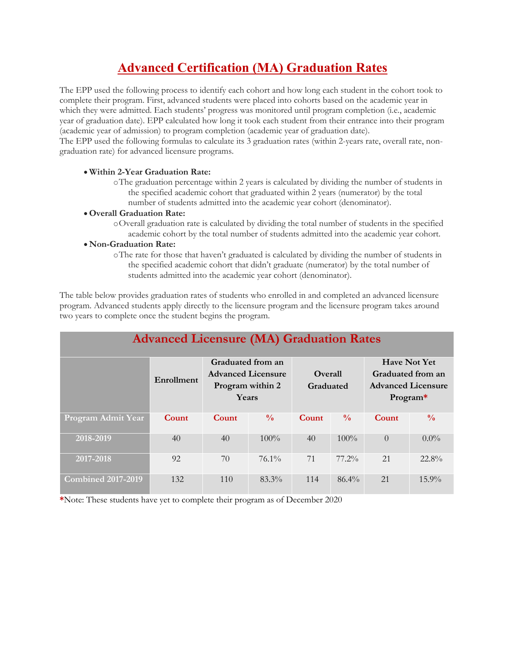# **Advanced Certification (MA) Graduation Rates**

The EPP used the following process to identify each cohort and how long each student in the cohort took to complete their program. First, advanced students were placed into cohorts based on the academic year in which they were admitted. Each students' progress was monitored until program completion (i.e., academic year of graduation date). EPP calculated how long it took each student from their entrance into their program (academic year of admission) to program completion (academic year of graduation date).

The EPP used the following formulas to calculate its 3 graduation rates (within 2-years rate, overall rate, nongraduation rate) for advanced licensure programs.

### • **Within 2-Year Graduation Rate:**

oThe graduation percentage within 2 years is calculated by dividing the number of students in the specified academic cohort that graduated within 2 years (numerator) by the total number of students admitted into the academic year cohort (denominator).

#### • **Overall Graduation Rate:**

oOverall graduation rate is calculated by dividing the total number of students in the specified academic cohort by the total number of students admitted into the academic year cohort.

#### • **Non-Graduation Rate:**

oThe rate for those that haven't graduated is calculated by dividing the number of students in the specified academic cohort that didn't graduate (numerator) by the total number of students admitted into the academic year cohort (denominator).

The table below provides graduation rates of students who enrolled in and completed an advanced licensure program. Advanced students apply directly to the licensure program and the licensure program takes around two years to complete once the student begins the program.

| <b>Advanced Licensure (MA) Graduation Rates</b> |            |                                                                             |               |                             |               |                                                                                   |               |  |  |
|-------------------------------------------------|------------|-----------------------------------------------------------------------------|---------------|-----------------------------|---------------|-----------------------------------------------------------------------------------|---------------|--|--|
|                                                 | Enrollment | Graduated from an<br><b>Advanced Licensure</b><br>Program within 2<br>Years |               | <b>Overall</b><br>Graduated |               | <b>Have Not Yet</b><br>Graduated from an<br><b>Advanced Licensure</b><br>Program* |               |  |  |
| Program Admit Year                              | Count      | Count                                                                       | $\frac{0}{0}$ | Count                       | $\frac{0}{0}$ | Count                                                                             | $\frac{0}{0}$ |  |  |
| 2018-2019                                       | 40         | 40                                                                          | $100\%$       | 40                          | $100\%$       | $\theta$                                                                          | $0.0\%$       |  |  |
| 2017-2018                                       | 92         | 70                                                                          | $76.1\%$      | 71                          | 77.2%         | 2.1                                                                               | 22.8%         |  |  |
| <b>Combined 2017-2019</b>                       | 132        | 110                                                                         | $83.3\%$      | 114                         | $86.4\%$      | 21                                                                                | $15.9\%$      |  |  |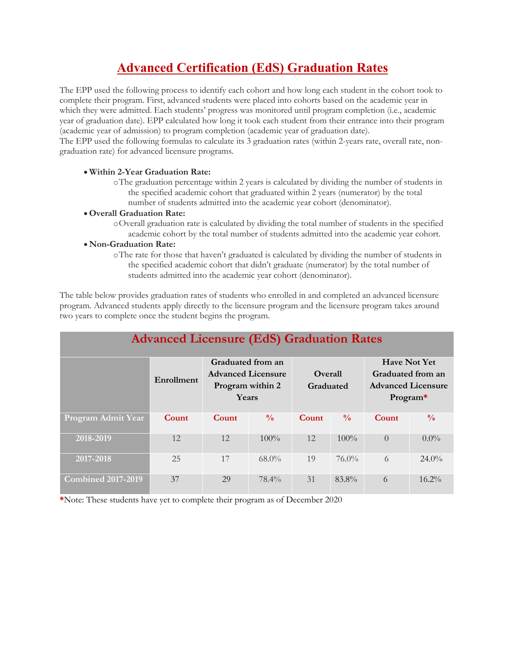# **Advanced Certification (EdS) Graduation Rates**

The EPP used the following process to identify each cohort and how long each student in the cohort took to complete their program. First, advanced students were placed into cohorts based on the academic year in which they were admitted. Each students' progress was monitored until program completion (i.e., academic year of graduation date). EPP calculated how long it took each student from their entrance into their program (academic year of admission) to program completion (academic year of graduation date).

The EPP used the following formulas to calculate its 3 graduation rates (within 2-years rate, overall rate, nongraduation rate) for advanced licensure programs.

### • **Within 2-Year Graduation Rate:**

oThe graduation percentage within 2 years is calculated by dividing the number of students in the specified academic cohort that graduated within 2 years (numerator) by the total number of students admitted into the academic year cohort (denominator).

#### • **Overall Graduation Rate:**

oOverall graduation rate is calculated by dividing the total number of students in the specified academic cohort by the total number of students admitted into the academic year cohort.

#### • **Non-Graduation Rate:**

oThe rate for those that haven't graduated is calculated by dividing the number of students in the specified academic cohort that didn't graduate (numerator) by the total number of students admitted into the academic year cohort (denominator).

The table below provides graduation rates of students who enrolled in and completed an advanced licensure program. Advanced students apply directly to the licensure program and the licensure program takes around two years to complete once the student begins the program.

| <b>Advanced Licensure (EdS) Graduation Rates</b> |            |                                                                             |               |                      |               |                                                                                   |               |  |  |
|--------------------------------------------------|------------|-----------------------------------------------------------------------------|---------------|----------------------|---------------|-----------------------------------------------------------------------------------|---------------|--|--|
|                                                  | Enrollment | Graduated from an<br><b>Advanced Licensure</b><br>Program within 2<br>Years |               | Overall<br>Graduated |               | <b>Have Not Yet</b><br>Graduated from an<br><b>Advanced Licensure</b><br>Program* |               |  |  |
| Program Admit Year                               | Count      | Count                                                                       | $\frac{0}{0}$ | Count                | $\frac{0}{0}$ | Count                                                                             | $\frac{0}{0}$ |  |  |
| 2018-2019                                        | 12         | 12                                                                          | $100\%$       | 12                   | $100\%$       | $\theta$                                                                          | $0.0\%$       |  |  |
| 2017-2018                                        | 25         | 17                                                                          | $68.0\%$      | 19                   | $76.0\%$      | 6                                                                                 | $24.0\%$      |  |  |
| <b>Combined 2017-2019</b>                        | 37         | 29                                                                          | $78.4\%$      | 31                   | 83.8%         | 6                                                                                 | $16.2\%$      |  |  |